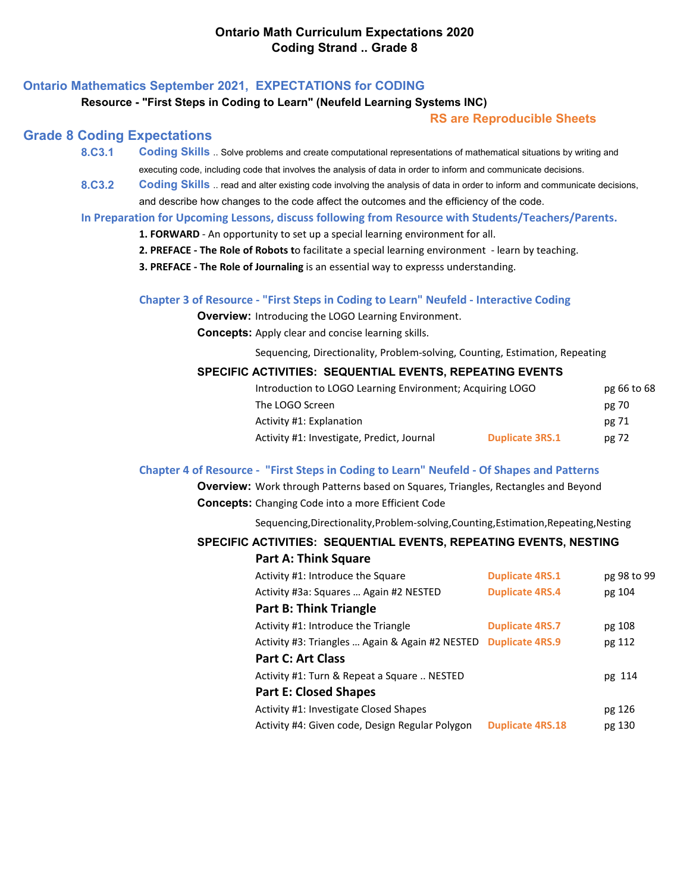# **Ontario Mathematics September 2021, EXPECTATIONS for CODING**

#### **Resource - "First Steps in Coding to Learn" (Neufeld Learning Systems INC)**

### **RS are Reproducible Sheets**

### **Grade 8 Coding Expectations**

- **8.C3.1 Coding Skills** .. Solve problems and create computational representations of mathematical situations by writing and executing code, including code that involves the analysis of data in order to inform and communicate decisions.
- **8.C3.2 [Coding Skills](https://www.dcp.edu.gov.on.ca/en/)** [.. read and alter existing code involving the analysis of data in order to inform and communicate decisions,](https://www.dcp.edu.gov.on.ca/en/) and describe how changes to the code affect the outcomes and the efficiency of the code.

**In Preparation for Upcoming Lessons, discuss following from Resource with Students/Teachers/Parents.**

- **1. FORWARD** An opportunity to set up a special learning environment for all.
- **2. PREFACE The Role of Robots t**o facilitate a special learning environment learn by teaching.
- **3. PREFACE The Role of Journaling** is an essential way to expresss understanding.

### **Chapter 3 of Resource - "First Steps in Coding to Learn" Neufeld - Interactive Coding**

**Overview:** Introducing the LOGO Learning Environment.

**Concepts:** Apply clear and concise learning skills.

Sequencing, Directionality, Problem-solving, Counting, Estimation, Repeating

### **SPECIFIC ACTIVITIES: SEQUENTIAL EVENTS, REPEATING EVENTS**

| Introduction to LOGO Learning Environment; Acquiring LOGO |                        | pg 66 to 68 |
|-----------------------------------------------------------|------------------------|-------------|
| The LOGO Screen                                           |                        | pg 70       |
| Activity #1: Explanation                                  |                        | pg 71       |
| Activity #1: Investigate, Predict, Journal                | <b>Duplicate 3RS.1</b> | pg 72       |

### **Chapter 4 of Resource - "First Steps in Coding to Learn" Neufeld - Of Shapes and Patterns**

**Overview:** Work through Patterns based on Squares, Triangles, Rectangles and Beyond **Concepts:** Changing Code into a more Efficient Code

Sequencing,Directionality,Problem-solving,Counting,Estimation,Repeating,Nesting

### **SPECIFIC ACTIVITIES: SEQUENTIAL EVENTS, REPEATING EVENTS, NESTING**

| <b>Part A: Think Square</b>                     |                         |             |
|-------------------------------------------------|-------------------------|-------------|
| Activity #1: Introduce the Square               | <b>Duplicate 4RS.1</b>  | pg 98 to 99 |
| Activity #3a: Squares  Again #2 NESTED          | <b>Duplicate 4RS.4</b>  | pg 104      |
| <b>Part B: Think Triangle</b>                   |                         |             |
| Activity #1: Introduce the Triangle             | <b>Duplicate 4RS.7</b>  | pg 108      |
| Activity #3: Triangles  Again & Again #2 NESTED | <b>Duplicate 4RS.9</b>  | pg 112      |
| Part C: Art Class                               |                         |             |
| Activity #1: Turn & Repeat a Square  NESTED     |                         | pg 114      |
| <b>Part E: Closed Shapes</b>                    |                         |             |
| Activity #1: Investigate Closed Shapes          |                         | pg 126      |
| Activity #4: Given code, Design Regular Polygon | <b>Duplicate 4RS.18</b> | pg 130      |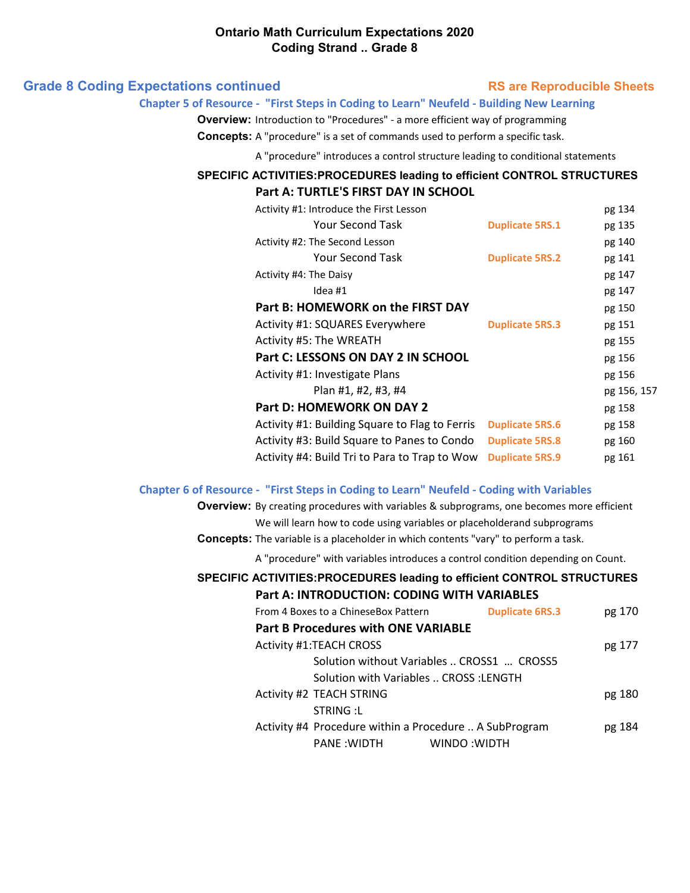|  |  | <b>Grade 8 Coding Expectations continued</b> |  |
|--|--|----------------------------------------------|--|
|--|--|----------------------------------------------|--|

### **RS are Reproducible Sheets**

#### **Chapter 5 of Resource - "First Steps in Coding to Learn" Neufeld - Building New Learning**

**Overview:** Introduction to "Procedures" - a more efficient way of programming

**Concepts:** A "procedure" is a set of commands used to perform a specific task.

A "procedure" introduces a control structure leading to conditional statements

# **SPECIFIC ACTIVITIES:PROCEDURES leading to efficient CONTROL STRUCTURES**

| Part A: TURTLE'S FIRST DAY IN SCHOOL           |                        |             |
|------------------------------------------------|------------------------|-------------|
| Activity #1: Introduce the First Lesson        |                        | pg 134      |
| <b>Your Second Task</b>                        | <b>Duplicate 5RS.1</b> | pg 135      |
| Activity #2: The Second Lesson                 |                        | pg 140      |
| <b>Your Second Task</b>                        | <b>Duplicate 5RS.2</b> | pg 141      |
| Activity #4: The Daisy                         |                        | pg 147      |
| Idea #1                                        |                        | pg 147      |
| Part B: HOMEWORK on the FIRST DAY              |                        | pg 150      |
| Activity #1: SQUARES Everywhere                | <b>Duplicate 5RS.3</b> | pg 151      |
| Activity #5: The WREATH                        |                        | pg 155      |
| Part C: LESSONS ON DAY 2 IN SCHOOL             |                        | pg 156      |
| Activity #1: Investigate Plans                 |                        | pg 156      |
| Plan #1, #2, #3, #4                            |                        | pg 156, 157 |
| Part D: HOMEWORK ON DAY 2                      |                        | pg 158      |
| Activity #1: Building Square to Flag to Ferris | <b>Duplicate 5RS.6</b> | pg 158      |
| Activity #3: Build Square to Panes to Condo    | <b>Duplicate 5RS.8</b> | pg 160      |
| Activity #4: Build Tri to Para to Trap to Wow  | <b>Duplicate 5RS.9</b> | pg 161      |

### **Chapter 6 of Resource - "First Steps in Coding to Learn" Neufeld - Coding with Variables**

**Overview:** By creating procedures with variables & subprograms, one becomes more efficient We will learn how to code using variables or placeholderand subprograms

**Concepts:** The variable is a placeholder in which contents "vary" to perform a task.

A "procedure" with variables introduces a control condition depending on Count.

## **SPECIFIC ACTIVITIES:PROCEDURES leading to efficient CONTROL STRUCTURES Part A: INTRODUCTION: CODING WITH VARIABLES**

| From 4 Boxes to a ChineseBox Pattern                   | <b>Duplicate 6RS.3</b><br>pg 170 |
|--------------------------------------------------------|----------------------------------|
| <b>Part B Procedures with ONE VARIABLE</b>             |                                  |
| <b>Activity #1:TEACH CROSS</b>                         | pg 177                           |
| Solution without Variables  CROSS1  CROSS5             |                                  |
| Solution with Variables  CROSS :LENGTH                 |                                  |
| Activity #2 TEACH STRING                               | pg 180                           |
| STRING:L                                               |                                  |
| Activity #4 Procedure within a Procedure  A SubProgram | pg 184                           |
| PANE :WIDTH                                            | WINDO: WIDTH                     |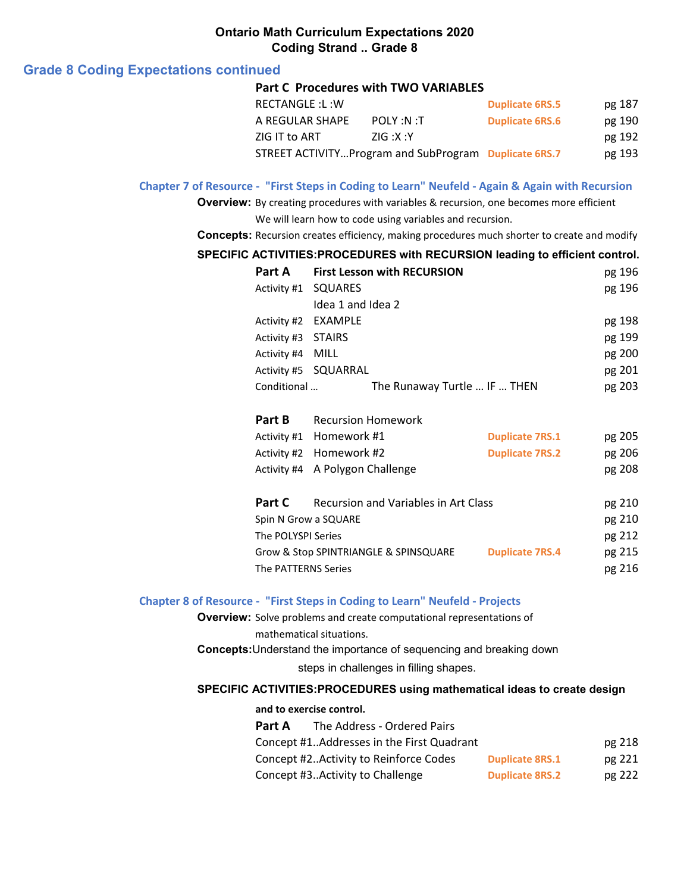# **Grade 8 Coding Expectations continued**

## **Part C Procedures with TWO VARIABLES**

| RECTANGLE:L:W   |                                                       | <b>Duplicate 6RS.5</b> | pg 187 |
|-----------------|-------------------------------------------------------|------------------------|--------|
| A REGULAR SHAPE | POLY :N :T                                            | <b>Duplicate 6RS.6</b> | pg 190 |
| ZIG IT to ART   | ZIG: X:Y                                              |                        | pg 192 |
|                 | STREET ACTIVITYProgram and SubProgram Duplicate 6RS.7 |                        | pg 193 |

### **Chapter 7 of Resource - "First Steps in Coding to Learn" Neufeld - Again & Again with Recursion**

**Overview:** By creating procedures with variables & recursion, one becomes more efficient

# We will learn how to code using variables and recursion.

**Concepts:** Recursion creates efficiency, making procedures much shorter to create and modify

### **SPECIFIC ACTIVITIES:PROCEDURES with RECURSION leading to efficient control.**

|                     | Part A First Lesson with RECURSION |                              | pg 196 |
|---------------------|------------------------------------|------------------------------|--------|
| Activity #1 SQUARES |                                    |                              | pg 196 |
|                     | Idea 1 and Idea 2                  |                              |        |
| Activity #2 EXAMPLE |                                    |                              | pg 198 |
| Activity #3 STAIRS  |                                    |                              | pg 199 |
| Activity #4 MILL    |                                    |                              | pg 200 |
|                     | Activity #5 SQUARRAL               |                              | pg 201 |
| Conditional         |                                    | The Runaway Turtle  IF  THEN | pg 203 |

| Part B                                | <b>Recursion Homework</b>            |                        |        |
|---------------------------------------|--------------------------------------|------------------------|--------|
|                                       | Activity #1 Homework #1              | <b>Duplicate 7RS.1</b> | pg 205 |
|                                       | Activity #2 Homework #2              | <b>Duplicate 7RS.2</b> | pg 206 |
|                                       | Activity #4 A Polygon Challenge      |                        | pg 208 |
| Part C                                | Recursion and Variables in Art Class |                        | pg 210 |
| $S_{min} N G_{conv} \geq C_{min} R P$ |                                      |                        | ng 210 |

| Spin N Grow a SQUARE                  |                        | pg 210 |
|---------------------------------------|------------------------|--------|
| The POLYSPI Series                    |                        | pg 212 |
| Grow & Stop SPINTRIANGLE & SPINSQUARE | <b>Duplicate 7RS.4</b> | pg 215 |
| The PATTERNS Series                   |                        | pg 216 |

### **Chapter 8 of Resource - "First Steps in Coding to Learn" Neufeld - Projects**

**Overview:** Solve problems and create computational representations of mathematical situations.

**Concepts:**Understand the importance of sequencing and breaking down

steps in challenges in filling shapes.

### **SPECIFIC ACTIVITIES:PROCEDURES using mathematical ideas to create design**

**and to exercise control.**

| Part A | The Address - Ordered Pairs               |                        |        |
|--------|-------------------------------------------|------------------------|--------|
|        | Concept #1Addresses in the First Quadrant |                        | pg 218 |
|        | Concept #2 Activity to Reinforce Codes    | <b>Duplicate 8RS.1</b> | pg 221 |
|        | Concept #3 Activity to Challenge          | <b>Duplicate 8RS.2</b> | pg 222 |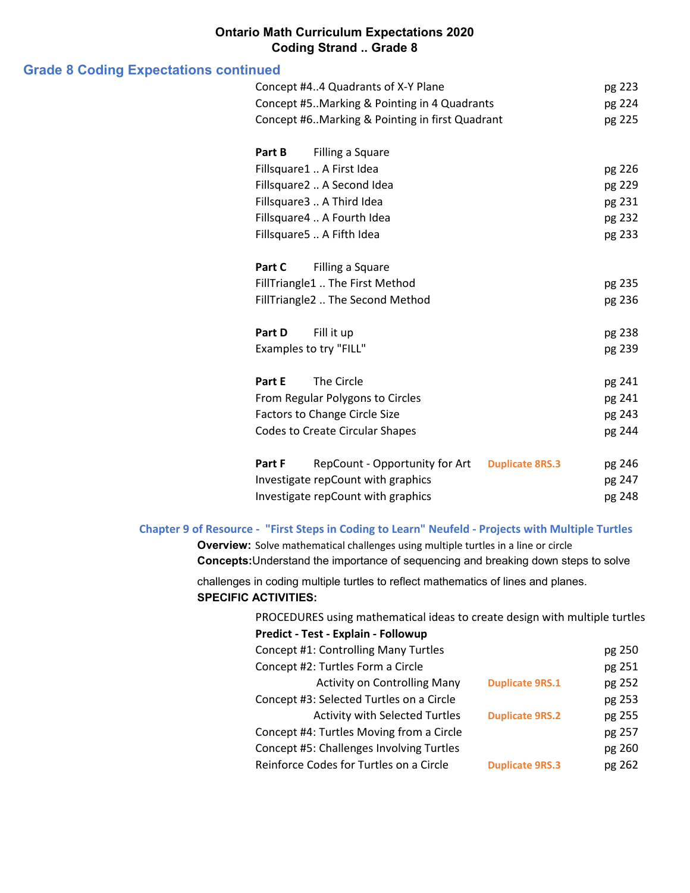# **Grade 8 Coding Expectations continued**

|        | Concept #44 Quadrants of X-Y Plane             |                        | pg 223 |
|--------|------------------------------------------------|------------------------|--------|
|        | Concept #5. Marking & Pointing in 4 Quadrants  |                        | pg 224 |
|        | Concept #6Marking & Pointing in first Quadrant |                        | pg 225 |
| Part B | Filling a Square                               |                        |        |
|        | Fillsquare1  A First Idea                      |                        | pg 226 |
|        | Fillsquare2  A Second Idea                     |                        | pg 229 |
|        | Fillsquare3  A Third Idea                      |                        | pg 231 |
|        | Fillsquare4  A Fourth Idea                     |                        | pg 232 |
|        | Fillsquare5  A Fifth Idea                      |                        | pg 233 |
|        |                                                |                        |        |
| Part C | Filling a Square                               |                        |        |
|        | FillTriangle1  The First Method                |                        | pg 235 |
|        | FillTriangle2  The Second Method               |                        | pg 236 |
|        |                                                |                        |        |
| Part D | Fill it up                                     |                        | pg 238 |
|        | Examples to try "FILL"                         |                        | pg 239 |
| Part E | The Circle                                     |                        |        |
|        |                                                |                        | pg 241 |
|        | From Regular Polygons to Circles               |                        | pg 241 |
|        | <b>Factors to Change Circle Size</b>           |                        | pg 243 |
|        | <b>Codes to Create Circular Shapes</b>         |                        | pg 244 |
| Part F | RepCount - Opportunity for Art                 | <b>Duplicate 8RS.3</b> | pg 246 |
|        | Investigate repCount with graphics             |                        | pg 247 |
|        | Investigate repCount with graphics             |                        | pg 248 |
|        |                                                |                        |        |

## **Chapter 9 of Resource - "First Steps in Coding to Learn" Neufeld - Projects with Multiple Turtles**

**Overview:** Solve mathematical challenges using multiple turtles in a line or circle **Concepts:**Understand the importance of sequencing and breaking down steps to solve

challenges in coding multiple turtles to reflect mathematics of lines and planes. **SPECIFIC ACTIVITIES:**

| PROCEDURES using mathematical ideas to create design with multiple turtles |                        |        |
|----------------------------------------------------------------------------|------------------------|--------|
| Predict - Test - Explain - Followup                                        |                        |        |
| Concept #1: Controlling Many Turtles                                       |                        | pg 250 |
| Concept #2: Turtles Form a Circle                                          |                        | pg 251 |
| <b>Activity on Controlling Many</b>                                        | <b>Duplicate 9RS.1</b> | pg 252 |
| Concept #3: Selected Turtles on a Circle                                   |                        | pg 253 |
| <b>Activity with Selected Turtles</b>                                      | <b>Duplicate 9RS.2</b> | pg 255 |
| Concept #4: Turtles Moving from a Circle                                   |                        | pg 257 |
| Concept #5: Challenges Involving Turtles                                   |                        | pg 260 |
| Reinforce Codes for Turtles on a Circle                                    | <b>Duplicate 9RS.3</b> | pg 262 |